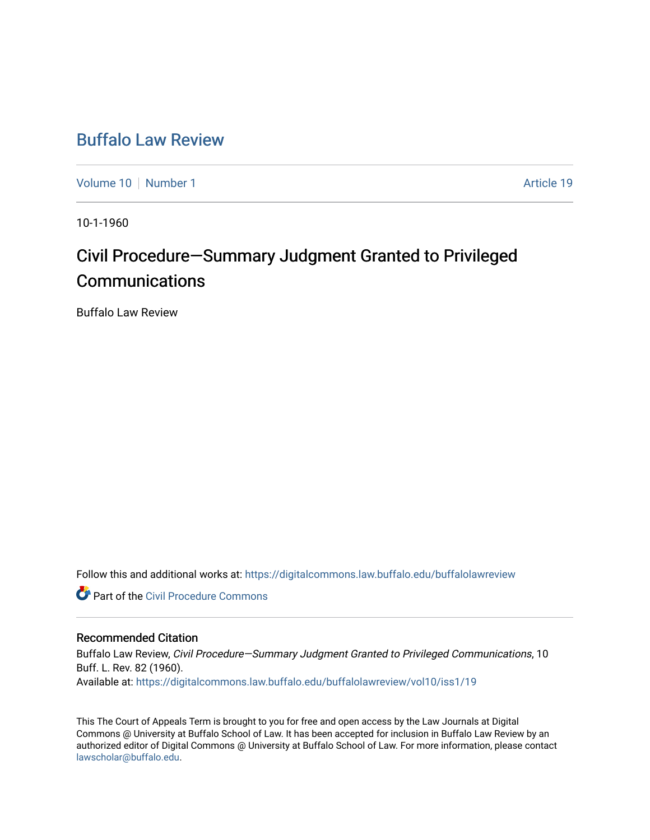## [Buffalo Law Review](https://digitalcommons.law.buffalo.edu/buffalolawreview)

[Volume 10](https://digitalcommons.law.buffalo.edu/buffalolawreview/vol10) [Number 1](https://digitalcommons.law.buffalo.edu/buffalolawreview/vol10/iss1) Article 19

10-1-1960

# Civil Procedure–Summary Judgment Granted to Privileged **Communications**

Buffalo Law Review

Follow this and additional works at: [https://digitalcommons.law.buffalo.edu/buffalolawreview](https://digitalcommons.law.buffalo.edu/buffalolawreview?utm_source=digitalcommons.law.buffalo.edu%2Fbuffalolawreview%2Fvol10%2Fiss1%2F19&utm_medium=PDF&utm_campaign=PDFCoverPages) 

**Part of the Civil Procedure Commons** 

## Recommended Citation

Buffalo Law Review, Civil Procedure—Summary Judgment Granted to Privileged Communications, 10 Buff. L. Rev. 82 (1960). Available at: [https://digitalcommons.law.buffalo.edu/buffalolawreview/vol10/iss1/19](https://digitalcommons.law.buffalo.edu/buffalolawreview/vol10/iss1/19?utm_source=digitalcommons.law.buffalo.edu%2Fbuffalolawreview%2Fvol10%2Fiss1%2F19&utm_medium=PDF&utm_campaign=PDFCoverPages)

This The Court of Appeals Term is brought to you for free and open access by the Law Journals at Digital Commons @ University at Buffalo School of Law. It has been accepted for inclusion in Buffalo Law Review by an authorized editor of Digital Commons @ University at Buffalo School of Law. For more information, please contact [lawscholar@buffalo.edu](mailto:lawscholar@buffalo.edu).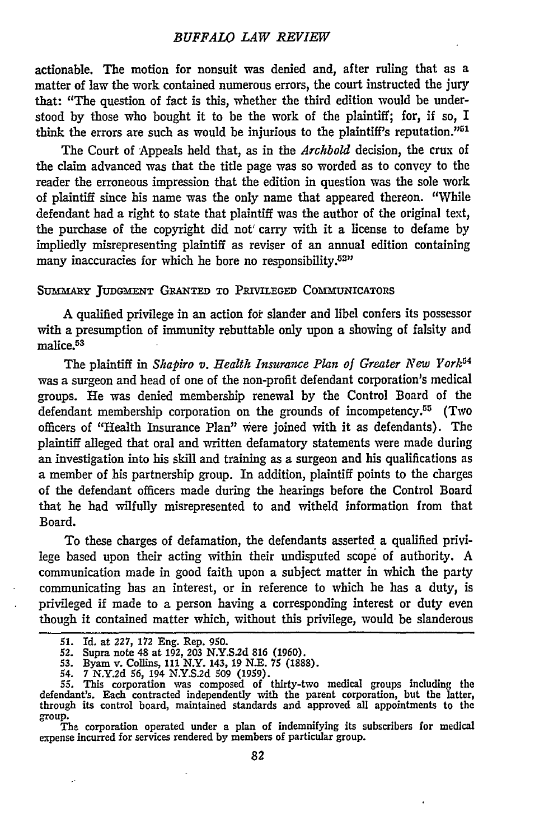#### *BUFFALO LAW REVIEW*

actionable. The motion for nonsuit was denied and, after ruling that as a matter of law the work contained numerous errors, the court instructed the jury that: "The question of fact is this, whether the third edition would be understood by those who bought it to be the work of the plaintiff; for, if so, I think the errors are such as would be injurious to the plaintiff's reputation."<sup>51</sup>

The Court of Appeals held that, as in the *Archbold* decision, the crux of the claim advanced was that the title page was so worded as to convey to the reader the erroneous impression that the edition in question was the sole work of plaintiff since his name was the only name that appeared thereon. "While defendant had a right to state that plaintiff was the author of the original text, the purchase of the copyright did not' carry with it a license to defame **by** impliedly misrepresenting plaintiff as reviser of an annual edition containing many inaccuracies for which he bore no responsibility.<sup>52"</sup>

### SUMMARY JUDGMENT GRANTED TO PRIVILEGED COMMUNICATORS

A qualified privilege in an action for slander and libel confers its possessor with a presumption of immunity rebuttable only upon a showing of falsity and malice.<sup>53</sup>

The plaintiff in *Shapiro v. Health* Insurance *Plan of Greater New York"<sup>4</sup>* was a surgeon and head of one of the non-profit defendant corporation's medical groups. He was denied membership renewal **by** the Control Board of the defendant membership corporation on the grounds of incompetency.<sup>55</sup> (Two officers of "Health Insurance Plan" were joined with it as defendants). The plaintiff alleged that oral and written defamatory statements were made during an investigation into his skill and training as a surgeon and his qualifications as a member of his partnership group. In addition, plaintiff points to the charges of the defendant officers made during the hearings before the Control Board that he had wilfully misrepresented to and witheld information from that Board.

To these charges of defamation, the defendants asserted a qualified privilege based upon their acting within their undisputed scope of authority. A communication made in good faith upon a subject matter in which the party communicating has an interest, or in reference to which he has a duty, is privileged if made to a person having a corresponding interest or duty even though it contained matter which, without this privilege, would be slanderous

The corporation operated under a plan of indemnifying its subscribers for medical expense incurred for services rendered **by** members of particular group.

*<sup>51.</sup>* Id. at *227,* **172 Eng. Rep. 950.**

<sup>52.</sup> Supra note 48 at **192, 203 N.Y.S.2d 816 (1960).**

<sup>53.</sup> Byam v. Collins, 111 N.Y. 143, 19 N.E. 75 (1888).<br>54. 7 N.Y.2d 56, 194 N.Y.S.2d 509 (1959).<br>55. This corporation was composed of thirty-two medical groups including the<br>defendant's. Each contracted independently with group.